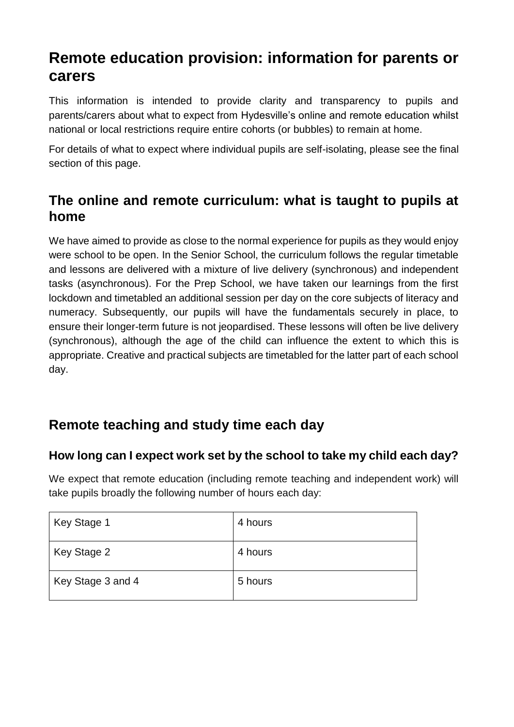# **Remote education provision: information for parents or carers**

This information is intended to provide clarity and transparency to pupils and parents/carers about what to expect from Hydesville's online and remote education whilst national or local restrictions require entire cohorts (or bubbles) to remain at home.

For details of what to expect where individual pupils are self-isolating, please see the final section of this page.

# **The online and remote curriculum: what is taught to pupils at home**

We have aimed to provide as close to the normal experience for pupils as they would enjoy were school to be open. In the Senior School, the curriculum follows the regular timetable and lessons are delivered with a mixture of live delivery (synchronous) and independent tasks (asynchronous). For the Prep School, we have taken our learnings from the first lockdown and timetabled an additional session per day on the core subjects of literacy and numeracy. Subsequently, our pupils will have the fundamentals securely in place, to ensure their longer-term future is not jeopardised. These lessons will often be live delivery (synchronous), although the age of the child can influence the extent to which this is appropriate. Creative and practical subjects are timetabled for the latter part of each school day.

# **Remote teaching and study time each day**

### **How long can I expect work set by the school to take my child each day?**

We expect that remote education (including remote teaching and independent work) will take pupils broadly the following number of hours each day:

| Key Stage 1       | 4 hours |
|-------------------|---------|
| Key Stage 2       | 4 hours |
| Key Stage 3 and 4 | 5 hours |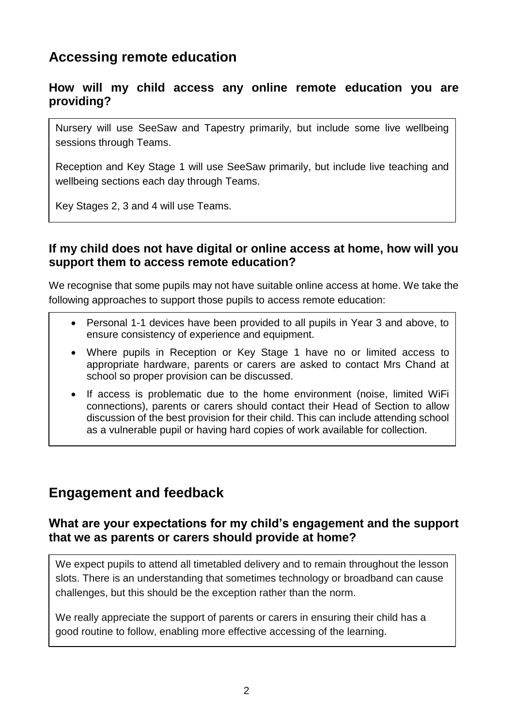### **Accessing remote education**

### **How will my child access any online remote education you are providing?**

Nursery will use SeeSaw and Tapestry primarily, but include some live wellbeing sessions through Teams.

Reception and Key Stage 1 will use SeeSaw primarily, but include live teaching and wellbeing sections each day through Teams.

Key Stages 2, 3 and 4 will use Teams.

### **If my child does not have digital or online access at home, how will you support them to access remote education?**

We recognise that some pupils may not have suitable online access at home. We take the following approaches to support those pupils to access remote education:

- Personal 1-1 devices have been provided to all pupils in Year 3 and above, to ensure consistency of experience and equipment.
- Where pupils in Reception or Key Stage 1 have no or limited access to appropriate hardware, parents or carers are asked to contact Mrs Chand at school so proper provision can be discussed.
- If access is problematic due to the home environment (noise, limited WiFi connections), parents or carers should contact their Head of Section to allow discussion of the best provision for their child. This can include attending school as a vulnerable pupil or having hard copies of work available for collection.

### **Engagement and feedback**

### **What are your expectations for my child's engagement and the support that we as parents or carers should provide at home?**

We expect pupils to attend all timetabled delivery and to remain throughout the lesson slots. There is an understanding that sometimes technology or broadband can cause challenges, but this should be the exception rather than the norm.

We really appreciate the support of parents or carers in ensuring their child has a good routine to follow, enabling more effective accessing of the learning.